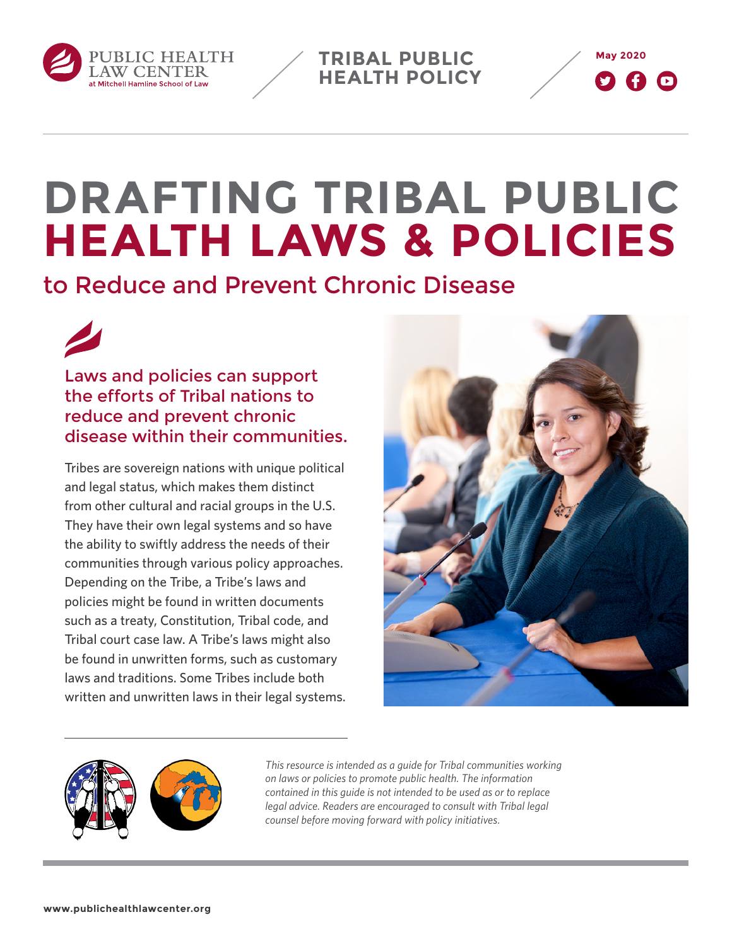

**TRIBAL PUBLIC HEALTH POLICY**



# **DRAFTING TRIBAL PUBLIC HEALTH LAWS & POLICIES**

to Reduce and Prevent Chronic Disease



Laws and policies can support the efforts of Tribal nations to reduce and prevent chronic disease within their communities.

Tribes are sovereign nations with unique political and legal status, which makes them distinct from other cultural and racial groups in the U.S. They have their own legal systems and so have the ability to swiftly address the needs of their communities through various policy approaches. Depending on the Tribe, a Tribe's laws and policies might be found in written documents such as a treaty, Constitution, Tribal code, and Tribal court case law. A Tribe's laws might also be found in unwritten forms, such as customary laws and traditions. Some Tribes include both written and unwritten laws in their legal systems.





*This resource is intended as a guide for Tribal communities working on laws or policies to promote public health. The information contained in this guide is not intended to be used as or to replace legal advice. Readers are encouraged to consult with Tribal legal counsel before moving forward with policy initiatives.*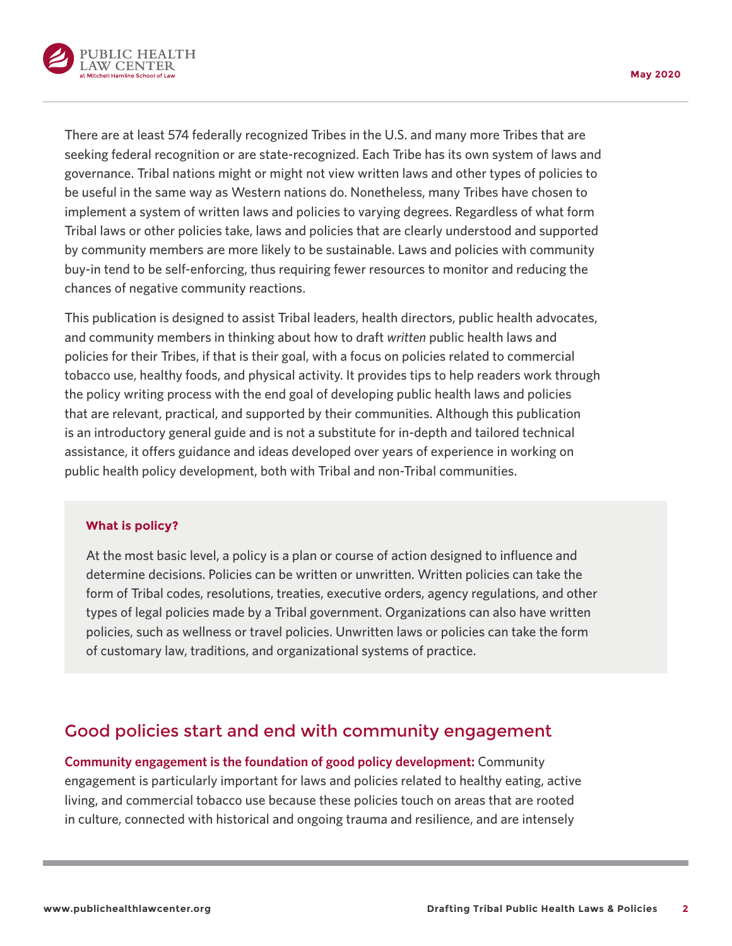

There are at least 574 federally recognized Tribes in the U.S. and many more Tribes that are seeking federal recognition or are state-recognized. Each Tribe has its own system of laws and governance. Tribal nations might or might not view written laws and other types of policies to be useful in the same way as Western nations do. Nonetheless, many Tribes have chosen to implement a system of written laws and policies to varying degrees. Regardless of what form Tribal laws or other policies take, laws and policies that are clearly understood and supported by community members are more likely to be sustainable. Laws and policies with community buy-in tend to be self-enforcing, thus requiring fewer resources to monitor and reducing the chances of negative community reactions.

This publication is designed to assist Tribal leaders, health directors, public health advocates, and community members in thinking about how to draft *written* public health laws and policies for their Tribes, if that is their goal, with a focus on policies related to commercial tobacco use, healthy foods, and physical activity. It provides tips to help readers work through the policy writing process with the end goal of developing public health laws and policies that are relevant, practical, and supported by their communities. Although this publication is an introductory general guide and is not a substitute for in-depth and tailored technical assistance, it offers guidance and ideas developed over years of experience in working on public health policy development, both with Tribal and non-Tribal communities.

#### **What is policy?**

At the most basic level, a policy is a plan or course of action designed to influence and determine decisions. Policies can be written or unwritten. Written policies can take the form of Tribal codes, resolutions, treaties, executive orders, agency regulations, and other types of legal policies made by a Tribal government. Organizations can also have written policies, such as wellness or travel policies. Unwritten laws or policies can take the form of customary law, traditions, and organizational systems of practice.

### Good policies start and end with community engagement

**Community engagement is the foundation of good policy development:** Community engagement is particularly important for laws and policies related to healthy eating, active living, and commercial tobacco use because these policies touch on areas that are rooted in culture, connected with historical and ongoing trauma and resilience, and are intensely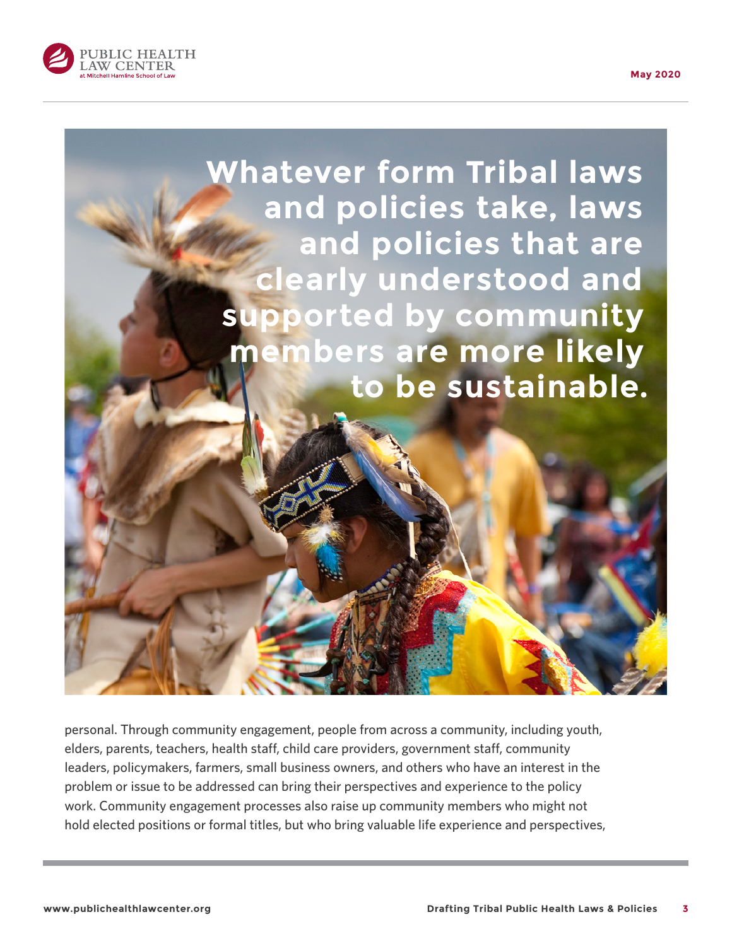





personal. Through community engagement, people from across a community, including youth, elders, parents, teachers, health staff, child care providers, government staff, community leaders, policymakers, farmers, small business owners, and others who have an interest in the problem or issue to be addressed can bring their perspectives and experience to the policy work. Community engagement processes also raise up community members who might not hold elected positions or formal titles, but who bring valuable life experience and perspectives,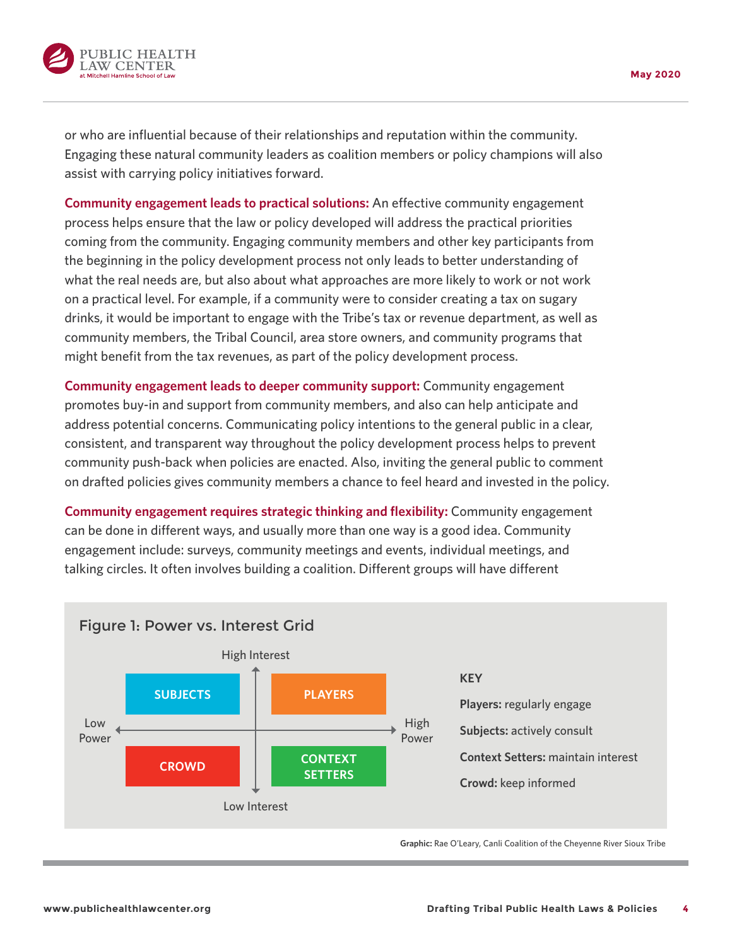or who are influential because of their relationships and reputation within the community. Engaging these natural community leaders as coalition members or policy champions will also assist with carrying policy initiatives forward.

**Community engagement leads to practical solutions:** An effective community engagement process helps ensure that the law or policy developed will address the practical priorities coming from the community. Engaging community members and other key participants from the beginning in the policy development process not only leads to better understanding of what the real needs are, but also about what approaches are more likely to work or not work on a practical level. For example, if a community were to consider creating a tax on sugary drinks, it would be important to engage with the Tribe's tax or revenue department, as well as community members, the Tribal Council, area store owners, and community programs that might benefit from the tax revenues, as part of the policy development process.

**Community engagement leads to deeper community support:** Community engagement promotes buy-in and support from community members, and also can help anticipate and address potential concerns. Communicating policy intentions to the general public in a clear, consistent, and transparent way throughout the policy development process helps to prevent community push-back when policies are enacted. Also, inviting the general public to comment on drafted policies gives community members a chance to feel heard and invested in the policy.

**Community engagement requires strategic thinking and flexibility:** Community engagement can be done in different ways, and usually more than one way is a good idea. Community engagement include: surveys, community meetings and events, individual meetings, and talking circles. It often involves building a coalition. Different groups will have different

<span id="page-3-0"></span>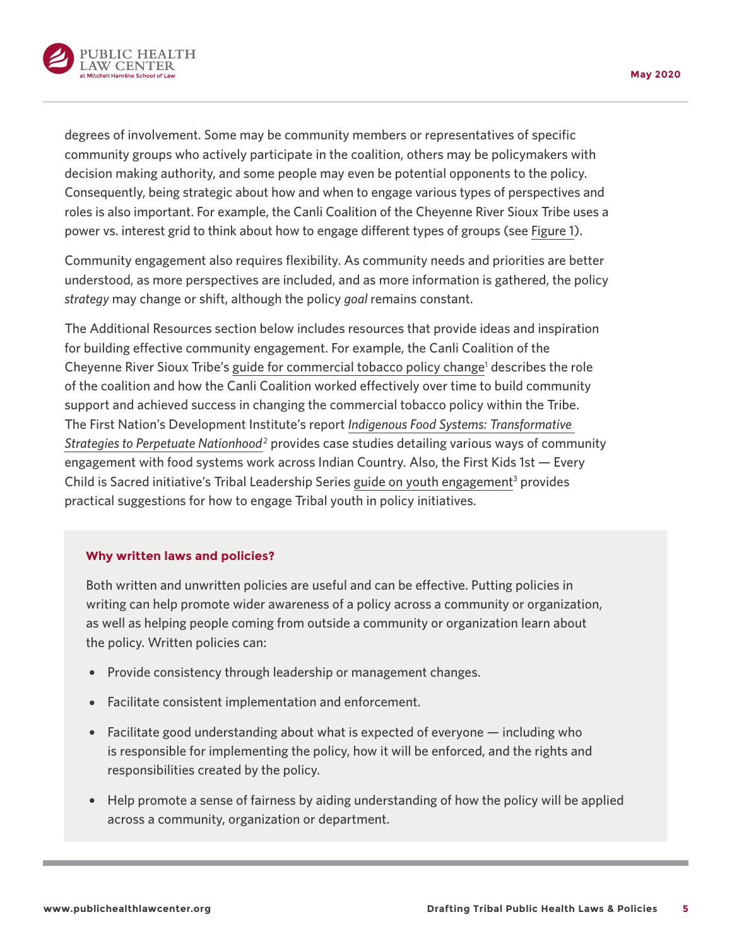<span id="page-4-0"></span>

degrees of involvement. Some may be community members or representatives of specific community groups who actively participate in the coalition, others may be policymakers with decision making authority, and some people may even be potential opponents to the policy. Consequently, being strategic about how and when to engage various types of perspectives and roles is also important. For example, the Canli Coalition of the Cheyenne River Sioux Tribe uses a power vs. interest grid to think about how to engage different types of groups (see [Figure 1](#page-3-0)).

Community engagement also requires flexibility. As community needs and priorities are better understood, as more perspectives are included, and as more information is gathered, the policy *strategy* may change or shift, although the policy *goal* remains constant.

The Additional Resources section below includes resources that provide ideas and inspiration for building effective community engagement. For example, the Canli Coalition of the Cheyenne River Sioux Tribe's [guide for commercial tobacco policy change](https://www.missouri-breaks.com/canli-guide)<sup>[1](#page-14-0)</sup> describes the role of the coalition and how the Canli Coalition worked effectively over time to build community support and achieved success in changing the commercial tobacco policy within the Tribe. The First Nation's Development Institute's report *Indigenous Food Systems: [Transformative](https://www.firstnations.org/publications/indigenous-food-systems-transformative-strategies-to-perpetuate-nationhood/)* Strategies to Perpetuate [Nationhood](https://www.firstnations.org/publications/indigenous-food-systems-transformative-strategies-to-perpetuate-nationhood/)<sup>[2](#page-14-0)</sup> provides case studies detailing various ways of community engagement with food systems work across Indian Country. Also, the First Kids 1st — Every Child is Sacred initiative's Tribal Leadership Series [guide on youth engagement](https://www.nicwa.org/wp-content/uploads/2018/11/Youth-Engagement-for-Tribal-Leaders.pdf)<sup>[3](#page-14-0)</sup> provides practical suggestions for how to engage Tribal youth in policy initiatives.

#### **Why written laws and policies?**

Both written and unwritten policies are useful and can be effective. Putting policies in writing can help promote wider awareness of a policy across a community or organization, as well as helping people coming from outside a community or organization learn about the policy. Written policies can:

- Provide consistency through leadership or management changes.
- Facilitate consistent implementation and enforcement.
- $\bullet$  Facilitate good understanding about what is expected of everyone  $-$  including who is responsible for implementing the policy, how it will be enforced, and the rights and responsibilities created by the policy.
- Help promote a sense of fairness by aiding understanding of how the policy will be applied across a community, organization or department.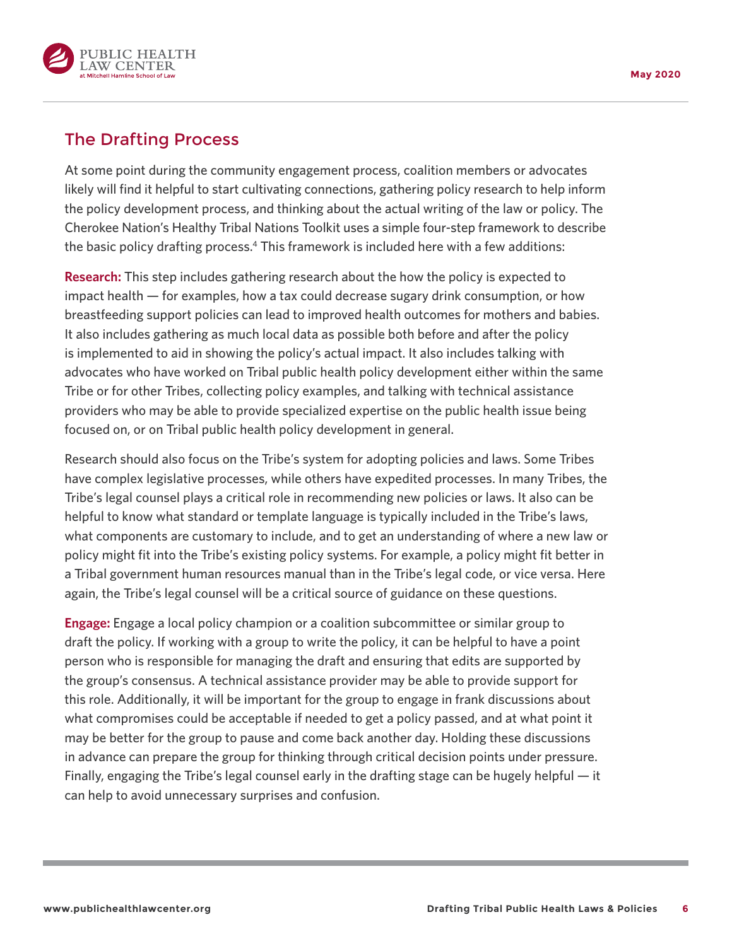<span id="page-5-0"></span>

# The Drafting Process

At some point during the community engagement process, coalition members or advocates likely will find it helpful to start cultivating connections, gathering policy research to help inform the policy development process, and thinking about the actual writing of the law or policy. The Cherokee Nation's Healthy Tribal Nations Toolkit uses a simple four-step framework to describe the basic policy drafting process[.4](#page-14-0) This framework is included here with a few additions:

**Research:** This step includes gathering research about the how the policy is expected to impact health — for examples, how a tax could decrease sugary drink consumption, or how breastfeeding support policies can lead to improved health outcomes for mothers and babies. It also includes gathering as much local data as possible both before and after the policy is implemented to aid in showing the policy's actual impact. It also includes talking with advocates who have worked on Tribal public health policy development either within the same Tribe or for other Tribes, collecting policy examples, and talking with technical assistance providers who may be able to provide specialized expertise on the public health issue being focused on, or on Tribal public health policy development in general.

Research should also focus on the Tribe's system for adopting policies and laws. Some Tribes have complex legislative processes, while others have expedited processes. In many Tribes, the Tribe's legal counsel plays a critical role in recommending new policies or laws. It also can be helpful to know what standard or template language is typically included in the Tribe's laws, what components are customary to include, and to get an understanding of where a new law or policy might fit into the Tribe's existing policy systems. For example, a policy might fit better in a Tribal government human resources manual than in the Tribe's legal code, or vice versa. Here again, the Tribe's legal counsel will be a critical source of guidance on these questions.

**Engage:** Engage a local policy champion or a coalition subcommittee or similar group to draft the policy. If working with a group to write the policy, it can be helpful to have a point person who is responsible for managing the draft and ensuring that edits are supported by the group's consensus. A technical assistance provider may be able to provide support for this role. Additionally, it will be important for the group to engage in frank discussions about what compromises could be acceptable if needed to get a policy passed, and at what point it may be better for the group to pause and come back another day. Holding these discussions in advance can prepare the group for thinking through critical decision points under pressure. Finally, engaging the Tribe's legal counsel early in the drafting stage can be hugely helpful — it can help to avoid unnecessary surprises and confusion.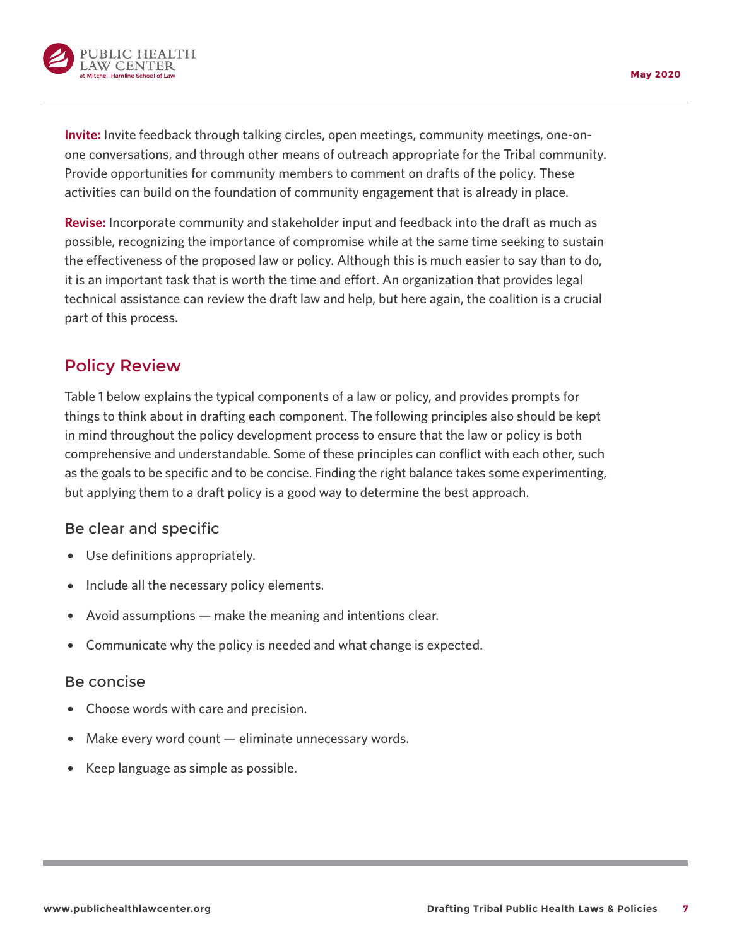

**Invite:** Invite feedback through talking circles, open meetings, community meetings, one-onone conversations, and through other means of outreach appropriate for the Tribal community. Provide opportunities for community members to comment on drafts of the policy. These activities can build on the foundation of community engagement that is already in place.

**Revise:** Incorporate community and stakeholder input and feedback into the draft as much as possible, recognizing the importance of compromise while at the same time seeking to sustain the effectiveness of the proposed law or policy. Although this is much easier to say than to do, it is an important task that is worth the time and effort. An organization that provides legal technical assistance can review the draft law and help, but here again, the coalition is a crucial part of this process.

## Policy Review

Table 1 below explains the typical components of a law or policy, and provides prompts for things to think about in drafting each component. The following principles also should be kept in mind throughout the policy development process to ensure that the law or policy is both comprehensive and understandable. Some of these principles can conflict with each other, such as the goals to be specific and to be concise. Finding the right balance takes some experimenting, but applying them to a draft policy is a good way to determine the best approach.

### Be clear and specific

- Use definitions appropriately.
- Include all the necessary policy elements.
- Avoid assumptions  $-$  make the meaning and intentions clear.
- Communicate why the policy is needed and what change is expected.

### Be concise

- { Choose words with care and precision.
- ${\rm Make\ every\ word\ count}$  eliminate unnecessary words.
- Keep language as simple as possible.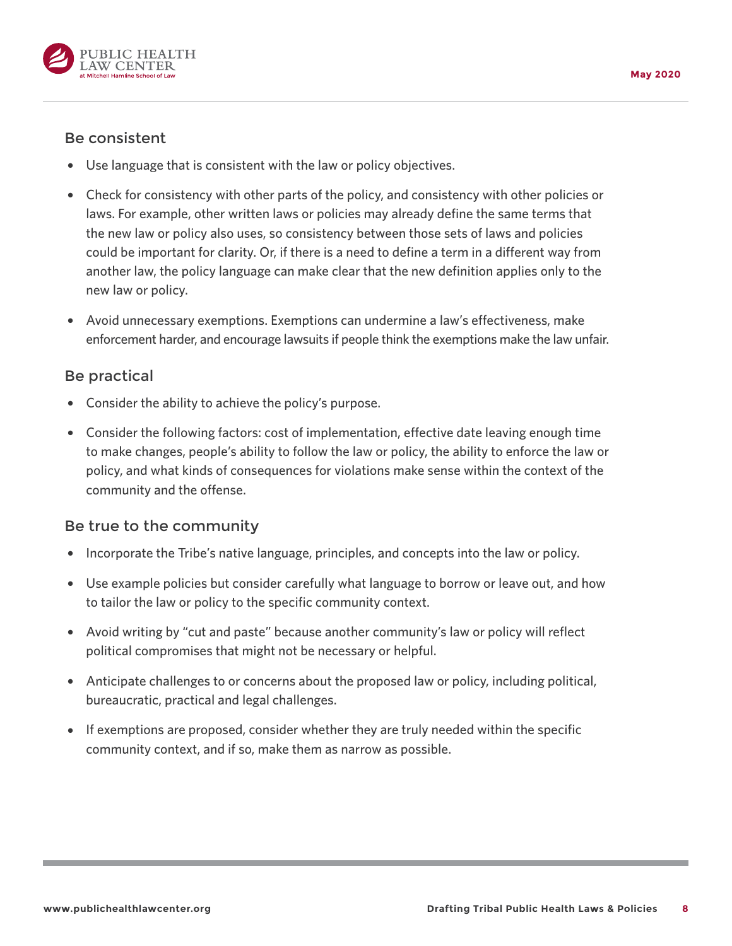

### Be consistent

- Use language that is consistent with the law or policy objectives.
- Check for consistency with other parts of the policy, and consistency with other policies or laws. For example, other written laws or policies may already define the same terms that the new law or policy also uses, so consistency between those sets of laws and policies could be important for clarity. Or, if there is a need to define a term in a different way from another law, the policy language can make clear that the new definition applies only to the new law or policy.
- Avoid unnecessary exemptions. Exemptions can undermine a law's effectiveness, make enforcement harder, and encourage lawsuits if people think the exemptions make the law unfair.

### Be practical

- Consider the ability to achieve the policy's purpose.
- Consider the following factors: cost of implementation, effective date leaving enough time to make changes, people's ability to follow the law or policy, the ability to enforce the law or policy, and what kinds of consequences for violations make sense within the context of the community and the offense.

### Be true to the community

- Incorporate the Tribe's native language, principles, and concepts into the law or policy.
- Use example policies but consider carefully what language to borrow or leave out, and how to tailor the law or policy to the specific community context.
- Avoid writing by "cut and paste" because another community's law or policy will reflect political compromises that might not be necessary or helpful.
- Anticipate challenges to or concerns about the proposed law or policy, including political, bureaucratic, practical and legal challenges.
- $\bullet$  If exemptions are proposed, consider whether they are truly needed within the specific community context, and if so, make them as narrow as possible.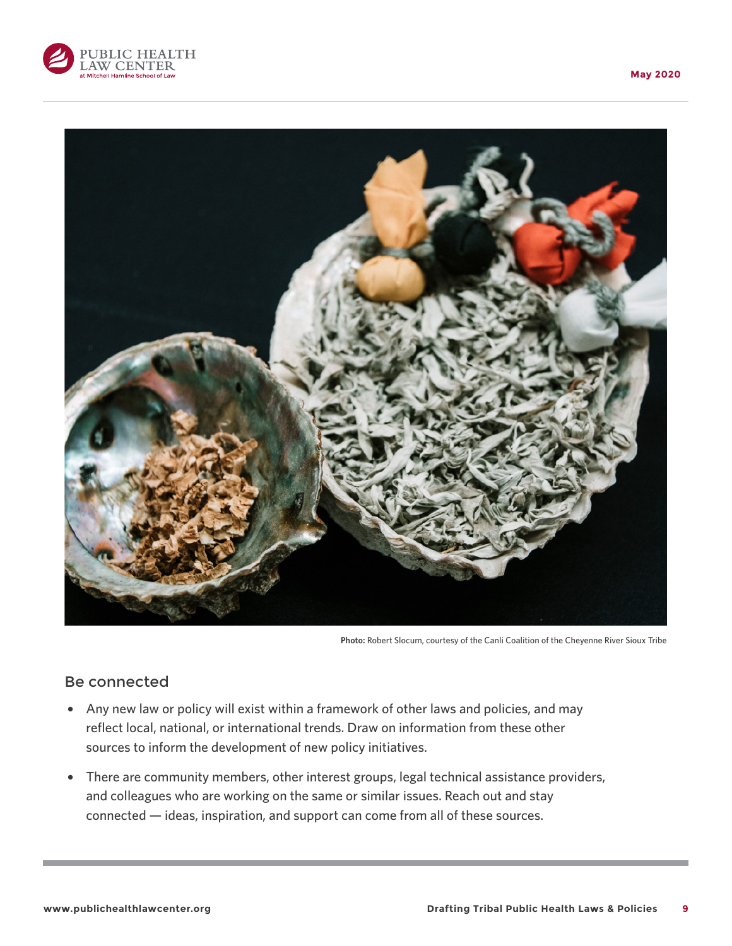



**Photo:** Robert Slocum, courtesy of the Canli Coalition of the Cheyenne River Sioux Tribe

### Be connected

- Any new law or policy will exist within a framework of other laws and policies, and may reflect local, national, or international trends. Draw on information from these other sources to inform the development of new policy initiatives.
- There are community members, other interest groups, legal technical assistance providers, and colleagues who are working on the same or similar issues. Reach out and stay connected — ideas, inspiration, and support can come from all of these sources.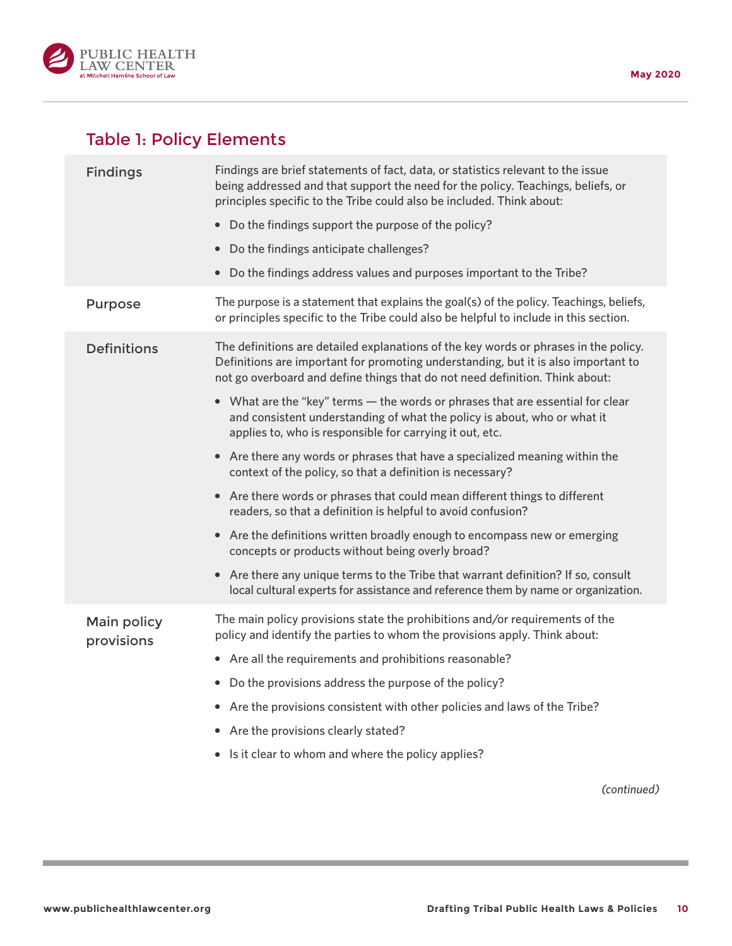

# Table 1: Policy Elements

| <b>Findings</b>                  | Findings are brief statements of fact, data, or statistics relevant to the issue<br>being addressed and that support the need for the policy. Teachings, beliefs, or<br>principles specific to the Tribe could also be included. Think about:              |
|----------------------------------|------------------------------------------------------------------------------------------------------------------------------------------------------------------------------------------------------------------------------------------------------------|
|                                  | • Do the findings support the purpose of the policy?                                                                                                                                                                                                       |
|                                  | Do the findings anticipate challenges?<br>$\bullet$                                                                                                                                                                                                        |
|                                  | Do the findings address values and purposes important to the Tribe?<br>$\bullet$                                                                                                                                                                           |
| Purpose                          | The purpose is a statement that explains the goal(s) of the policy. Teachings, beliefs,<br>or principles specific to the Tribe could also be helpful to include in this section.                                                                           |
| <b>Definitions</b>               | The definitions are detailed explanations of the key words or phrases in the policy.<br>Definitions are important for promoting understanding, but it is also important to<br>not go overboard and define things that do not need definition. Think about: |
|                                  | • What are the "key" terms - the words or phrases that are essential for clear<br>and consistent understanding of what the policy is about, who or what it<br>applies to, who is responsible for carrying it out, etc.                                     |
|                                  | • Are there any words or phrases that have a specialized meaning within the<br>context of the policy, so that a definition is necessary?                                                                                                                   |
|                                  | • Are there words or phrases that could mean different things to different<br>readers, so that a definition is helpful to avoid confusion?                                                                                                                 |
|                                  | • Are the definitions written broadly enough to encompass new or emerging<br>concepts or products without being overly broad?                                                                                                                              |
|                                  | • Are there any unique terms to the Tribe that warrant definition? If so, consult<br>local cultural experts for assistance and reference them by name or organization.                                                                                     |
| <b>Main policy</b><br>provisions | The main policy provisions state the prohibitions and/or requirements of the<br>policy and identify the parties to whom the provisions apply. Think about:                                                                                                 |
|                                  | • Are all the requirements and prohibitions reasonable?                                                                                                                                                                                                    |
|                                  | Do the provisions address the purpose of the policy?<br>$\bullet$                                                                                                                                                                                          |
|                                  | Are the provisions consistent with other policies and laws of the Tribe?                                                                                                                                                                                   |
|                                  | Are the provisions clearly stated?<br>$\bullet$                                                                                                                                                                                                            |
|                                  | Is it clear to whom and where the policy applies?<br>$\bullet$                                                                                                                                                                                             |
|                                  | (continued)                                                                                                                                                                                                                                                |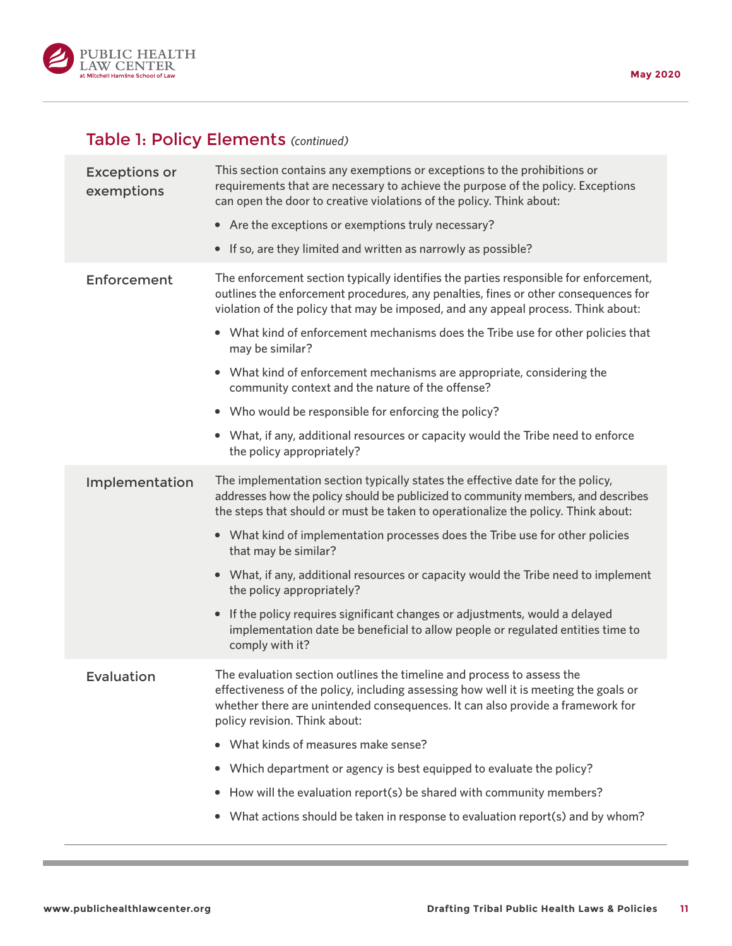

# Table 1: Policy Elements *(continued)*

| <b>Exceptions or</b><br>exemptions | This section contains any exemptions or exceptions to the prohibitions or<br>requirements that are necessary to achieve the purpose of the policy. Exceptions<br>can open the door to creative violations of the policy. Think about:<br>• Are the exceptions or exemptions truly necessary?<br>• If so, are they limited and written as narrowly as possible?                                                                                                                                                                                                                                                                                                                                                     |
|------------------------------------|--------------------------------------------------------------------------------------------------------------------------------------------------------------------------------------------------------------------------------------------------------------------------------------------------------------------------------------------------------------------------------------------------------------------------------------------------------------------------------------------------------------------------------------------------------------------------------------------------------------------------------------------------------------------------------------------------------------------|
| Enforcement                        | The enforcement section typically identifies the parties responsible for enforcement,<br>outlines the enforcement procedures, any penalties, fines or other consequences for<br>violation of the policy that may be imposed, and any appeal process. Think about:<br>• What kind of enforcement mechanisms does the Tribe use for other policies that<br>may be similar?<br>• What kind of enforcement mechanisms are appropriate, considering the<br>community context and the nature of the offense?<br>• Who would be responsible for enforcing the policy?<br>• What, if any, additional resources or capacity would the Tribe need to enforce                                                                 |
| Implementation                     | the policy appropriately?<br>The implementation section typically states the effective date for the policy,<br>addresses how the policy should be publicized to community members, and describes<br>the steps that should or must be taken to operationalize the policy. Think about:<br>• What kind of implementation processes does the Tribe use for other policies<br>that may be similar?<br>• What, if any, additional resources or capacity would the Tribe need to implement<br>the policy appropriately?<br>If the policy requires significant changes or adjustments, would a delayed<br>$\bullet$<br>implementation date be beneficial to allow people or regulated entities time to<br>comply with it? |
| Evaluation                         | The evaluation section outlines the timeline and process to assess the<br>effectiveness of the policy, including assessing how well it is meeting the goals or<br>whether there are unintended consequences. It can also provide a framework for<br>policy revision. Think about:<br>What kinds of measures make sense?<br>Which department or agency is best equipped to evaluate the policy?<br>٠<br>How will the evaluation report(s) be shared with community members?<br>٠<br>What actions should be taken in response to evaluation report(s) and by whom?<br>٠                                                                                                                                              |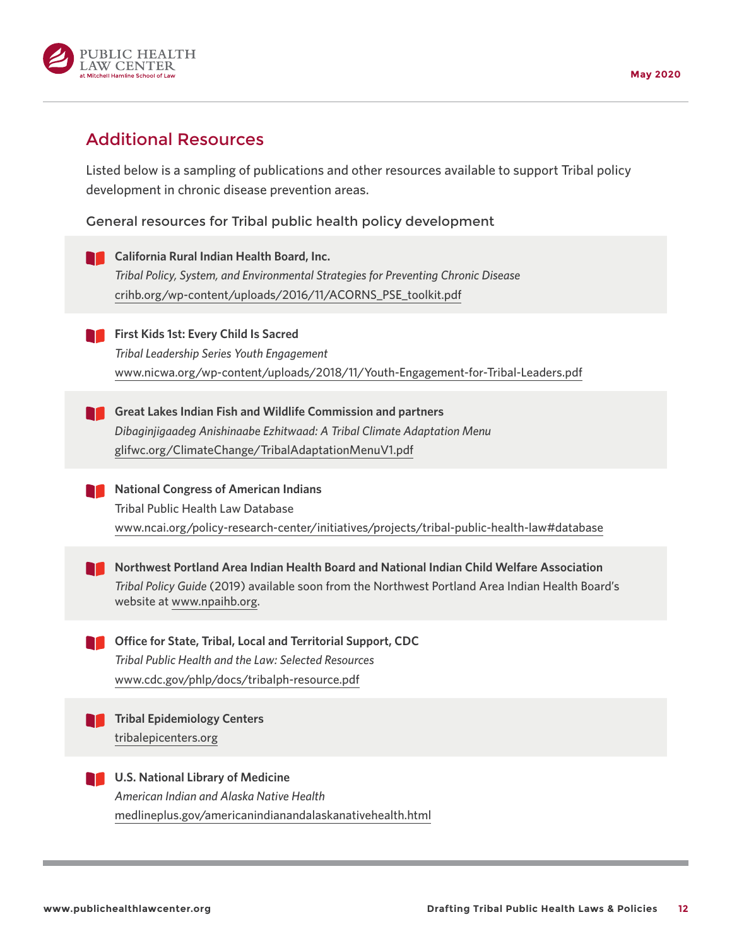

# Additional Resources

Listed below is a sampling of publications and other resources available to support Tribal policy development in chronic disease prevention areas.

General resources for Tribal public health policy development

**California Rural Indian Health Board, Inc.** *Tribal Policy, System, and Environmental Strategies for Preventing Chronic Disease* [crihb.org/wp-content/uploads/2016/11/ACORNS\\_PSE\\_toolkit.pdf](https://crihb.org/wp-content/uploads/2016/11/ACORNS_PSE_toolkit.pdf) **First Kids 1st: Every Child Is Sacred** *Tribal Leadership Series Youth Engagement* [www.nicwa.org/wp-content/uploads/2018/11/Youth-Engagement-for-Tribal-Leaders.pdf](https://www.nicwa.org/wp-content/uploads/2018/11/Youth-Engagement-for-Tribal-Leaders.pdf) **Great Lakes Indian Fish and Wildlife Commission and partners** *Dibaginjigaadeg Anishinaabe Ezhitwaad: A Tribal Climate Adaptation Menu* [glifwc.org/ClimateChange/TribalAdaptationMenuV1.pdf](http://glifwc.org/ClimateChange/TribalAdaptationMenuV1.pdf) **National Congress of American Indians** Tribal Public Health Law Database [www.ncai.org/policy-research-center/initiatives/projects/tribal-public-health-law#database](http://www.ncai.org/policy-research-center/initiatives/projects/tribal-public-health-law#database) **Northwest Portland Area Indian Health Board and National Indian Child Welfare Association** *Tribal Policy Guide* (2019) available soon from the Northwest Portland Area Indian Health Board's website at [www.npaihb.org](http://www.npaihb.org). **Office for State, Tribal, Local and Territorial Support, CDC** *Tribal Public Health and the Law: Selected Resources* [www.cdc.gov/phlp/docs/tribalph-resource.pdf](https://www.cdc.gov/phlp/docs/tribalph-resource.pdf) **Tribal Epidemiology Centers** [tribalepicenters.org](http://tribalepicenters.org) **LACK U.S. National Library of Medicine** *American Indian and Alaska Native Health* [medlineplus.gov/americanindianandalaskanativehealth.html](http://medlineplus.gov/americanindianandalaskanativehealth.html)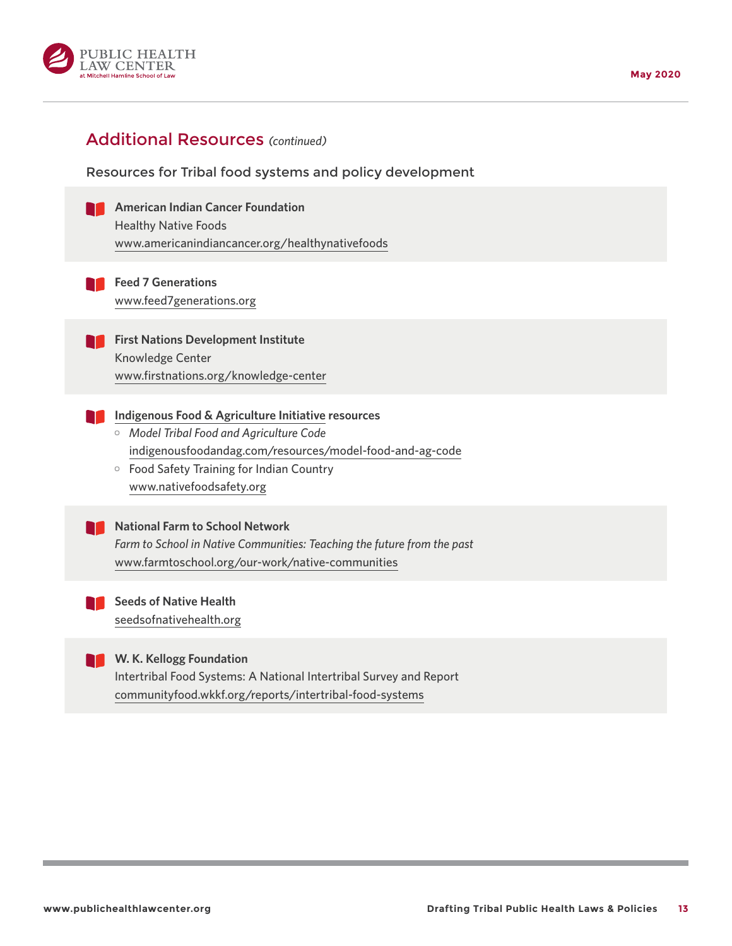

### Additional Resources *(continued)*

Resources for Tribal food systems and policy development

**American Indian Cancer Foundation** Healthy Native Foods [www.americanindiancancer.org/healthynativefoods](https://www.americanindiancancer.org/healthynativefoods)

**Feed 7 Generations** [www.feed7generations.org](https://www.feed7generations.org)

**First Nations Development Institute** Knowledge Center [www.firstnations.org/knowledge-center](http://www.firstnations.org/knowledge-center)

- **[Indigenous Food & Agriculture Initiative](https://www.indigenousfoodandag.com) resources**
	- ] *Model Tribal Food and Agriculture Code* [indigenousfoodandag.com/resources/model-food-and-ag-code](https://indigenousfoodandag.com/resources/model-food-and-ag-code)
	- o Food Safety Training for Indian Country [www.nativefoodsafety.org](https://www.nativefoodsafety.org)

#### **National Farm to School Network**

 *Farm to School in Native Communities: Teaching the future from the past* [www.farmtoschool.org/our-work/native-communities](http://www.farmtoschool.org/our-work/native-communities)

**Seeds of Native Health TT** [seedsofnativehealth.org](http://seedsofnativehealth.org)



#### **W. K. Kellogg Foundation**

Intertribal Food Systems: A National Intertribal Survey and Report [communityfood.wkkf.org/reports/intertribal-food-systems](http://communityfood.wkkf.org/reports/intertribal-food-systems)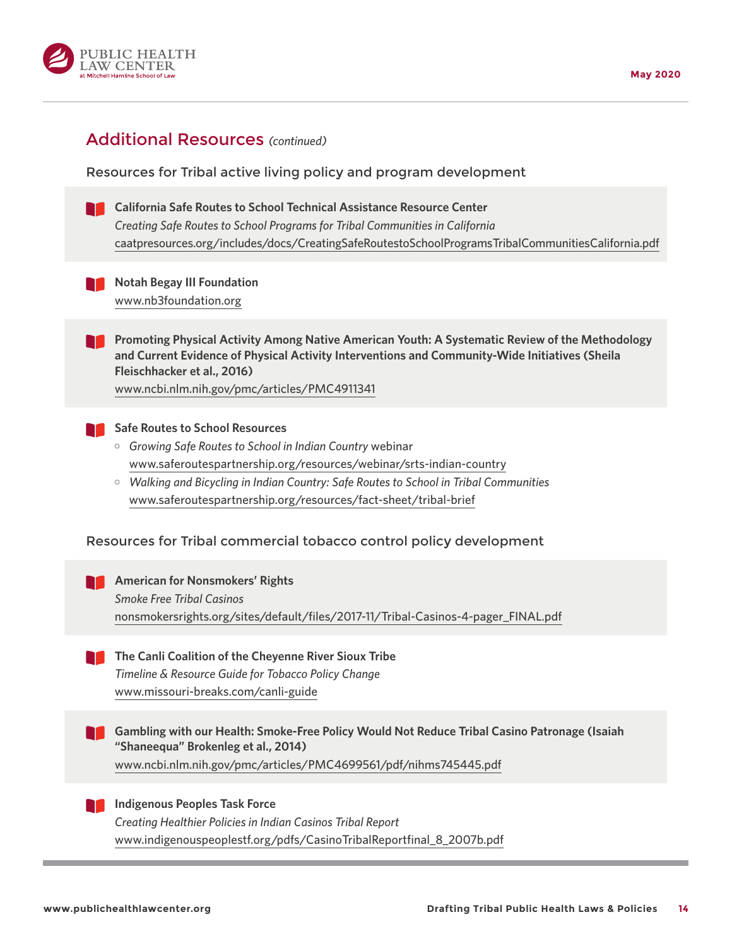

### Additional Resources *(continued)*

Resources for Tribal active living policy and program development

**California Safe Routes to School Technical Assistance Resource Center** *Creating Safe Routes to School Programs for Tribal Communities in California* [caatpresources.org/includes/docs/CreatingSafeRoutestoSchoolProgramsTribalCommunitiesCalifornia.pdf](http://caatpresources.org/includes/docs/CreatingSafeRoutestoSchoolProgramsTribalCommunitiesCalifornia.pdf)



**Notah Begay III Foundation** [www.nb3foundation.org](http://www.nb3foundation.org)

**Promoting Physical Activity Among Native American Youth: A Systematic Review of the Methodology and Current Evidence of Physical Activity Interventions and Community-Wide Initiatives (Sheila Fleischhacker et al., 2016)**

[www.ncbi.nlm.nih.gov/pmc/articles/PMC4911341](https://www.ncbi.nlm.nih.gov/pmc/articles/PMC4911341)



#### **Safe Routes to School Resources**

- ] *Growing Safe Routes to School in Indian Country* webinar [www.saferoutespartnership.org/resources/webinar/srts-indian-country](https://www.saferoutespartnership.org/resources/webinar/srts-indian-country)
- ] *Walking and Bicycling in Indian Country: Safe Routes to School in Tribal Communities* [www.saferoutespartnership.org/resources/fact-sheet/tribal-brief](https://www.saferoutespartnership.org/resources/fact-sheet/tribal-brief)

### Resources for Tribal commercial tobacco control policy development

- **American for Nonsmokers' Rights**  *Smoke Free Tribal Casinos* [nonsmokersrights.org/sites/default/files/2017-11/Tribal-Casinos-4-pager\\_FINAL.pdf](https://nonsmokersrights.org/sites/default/files/2017-11/Tribal-Casinos-4-pager_FINAL.pdf)
- **The Canli Coalition of the Cheyenne River Sioux Tribe**  *Timeline & Resource Guide for Tobacco Policy Change* [www.missouri-breaks.com/canli-guide](https://www.missouri-breaks.com/canli-guide)
- **Gambling with our Health: Smoke-Free Policy Would Not Reduce Tribal Casino Patronage (Isaiah "Shaneequa" Brokenleg et al., 2014)**

[www.ncbi.nlm.nih.gov/pmc/articles/PMC4699561/pdf/nihms745445.pdf](https://www.ncbi.nlm.nih.gov/pmc/articles/PMC4699561/pdf/nihms745445.pdf)



 *Creating Healthier Policies in Indian Casinos Tribal Report* [www.indigenouspeoplestf.org/pdfs/CasinoTribalReportfinal\\_8\\_2007b.pdf](http://www.indigenouspeoplestf.org/pdfs/CasinoTribalReportfinal_8_2007b.pdf)